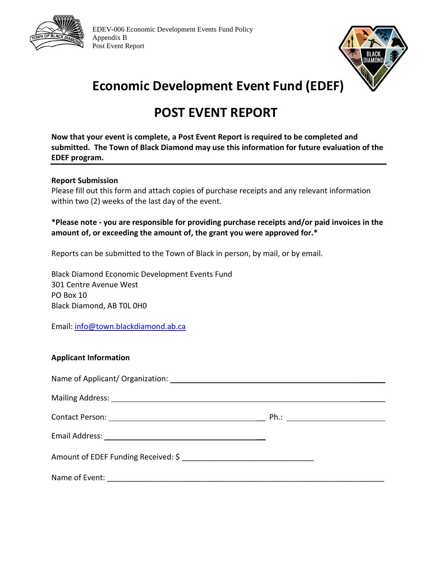

**EDEV-006 Economic Development Events Fund Policy**  Appendix B Post Event Report



# **Economic Development Event Fund (EDEF)**

# **POST EVENT REPORT**

**Now that your event is complete, a Post Event Report is required to be completed and submitted. The Town of Black Diamond may use this information for future evaluation of the EDEF program.** 

#### **Report Submission**

Please fill out this form and attach copies of purchase receipts and any relevant information within two (2) weeks of the last day of the event.

## **\*Please note - you are responsible for providing purchase receipts and/or paid invoices in the amount of, or exceeding the amount of, the grant you were approved for.\***

Reports can be submitted to the Town of Black in person, by mail, or by email.

Black Diamond Economic Development Events Fund 301 Centre Avenue West PO Box 10 Black Diamond, AB T0L 0H0

Email: info@town.blackdiamond.ab.ca

### **Applicant Information**